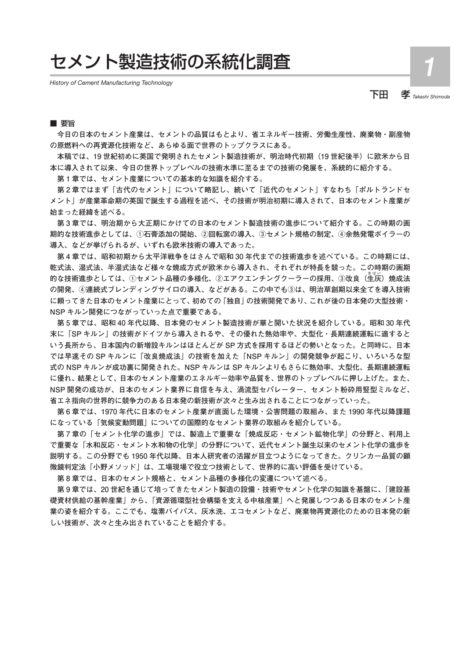# セメント製造技術の系統化調査

*History of Cement Manufacturing Technology*

下田 孝 *Takashi Shimoda* 1

## ■ 要旨

**今日の日本のセメント産業は、セメントの品質はもとより、省エネルギー技術、労働生産性、廃棄物・副産物 の原燃料への再資源化技術など、あらゆる面で世界のトップクラスにある。**

**本稿では、19 世紀初めに英国で発明されたセメント製造技術が、明治時代初期(19 世紀後半)に欧米から日 本に導入されて以来、今日の世界トップレベルの技術水準に至るまでの技術の発展を、系統的に紹介する。**

**第 1 章では、セメント産業についての基本的な知識を紹介する。**

**第 2 章ではまず「古代のセメント」について略記し、続いて「近代のセメント」すなわち「ポルトランドセ メント」が産業革命期の英国で誕生する過程を述べ、その技術が明治初期に導入されて、日本のセメント産業が 始まった経緯を述べる。**

**第 3 章では、明治期から大正期にかけての日本のセメント製造技術の進歩について紹介する。この時期の画 期的な技術進歩としては、①石膏添加の開始、②回転窯の導入、③セメント規格の制定、④余熱発電ボイラーの 導入、などが挙げられるが、いずれも欧米技術の導入であった。**

**第 4 章では、昭和初期から太平洋戦争をはさんで昭和 30 年代までの技術進歩を述べている。この時期には、 乾式法、湿式法、半湿式法など様々な焼成方式が欧米から導入され、それぞれが特長を競った。この時期の画期 的な技術進歩としては、①セメント品種の多様化、②エアクエンチングクーラーの採用、③改良(生 きばい 灰)焼成法 の開発、④連続式ブレンディングサイロの導入、などがある。この中でも③は、明治草創期以来全てを導入技術 に頼ってきた日本のセメント産業にとって、初めての「独自」の技術開発であり、これが後の日本発の大型技術・ NSP キルン開発につながっていった点で重要である。**

**第 5 章では、昭和 40 年代以降、日本発のセメント製造技術が華と開いた状況を紹介している。昭和 30 年代 末に「SP キルン」の技術がドイツから導入されるや、その優れた熱効率や、大型化・長期連続運転に適すると いう長所から、日本国内の新増設キルンはほとんどが SP 方式を採用するほどの勢いとなった。と同時に、日本 では早速その SP キルンに「改良焼成法」の技術を加えた「NSP キルン」の開発競争が起こり、いろいろな型 式の NSP キルンが成功裏に開発された。NSP キルンは SP キルンよりもさらに熱効率、大型化、長期連続運転 に優れ、結果として、日本のセメント産業のエネルギー効率や品質を、世界のトップレベルに押し上げた。また、 NSP 開発の成功が、日本のセメント業界に自信を与え、渦流型セパレーター、セメント粉砕用竪型ミルなど、 省エネ指向の世界的に競争力のある日本発の新技術が次々と生み出されることにつながっていった。**

**第 6 章では、1970 年代に日本のセメント産業が直面した環境・公害問題の取組み、また 1990 年代以降課題 になっている「気候変動問題」についての国際的なセメント業界の取組みを紹介している。**

**第 7 章の「セメント化学の進歩」では、製造上で重要な「焼成反応・セメント鉱物化学」の分野と、利用上 で重要な「水和反応・セメント水和物の化学」の分野について、近代セメント誕生以来のセメント化学の進歩を 説明する。この分野でも 1950 年代以降、日本人研究者の活躍が目立つようになってきた。クリンカー品質の顕 微鏡判定法「小野メソッド」は、工場現場で役立つ技術として、世界的に高い評価を受けている。**

**第 8 章では、日本のセメント規格と、セメント品種の多様化の変遷について述べる。**

**第 9 章では、20 世紀を通じて培ってきたセメント製造の設備・技術やセメント化学の知識を基盤に、「建設基 礎資材供給の基幹産業」から、「資源循環型社会構築を支える中核産業」へと発展しつつある日本のセメント産 業の姿を紹介する。ここでも、塩素バイパス、灰水洗、エコセメントなど、廃棄物再資源化のための日本発の新 しい技術が、次々と生み出されていることを紹介する。**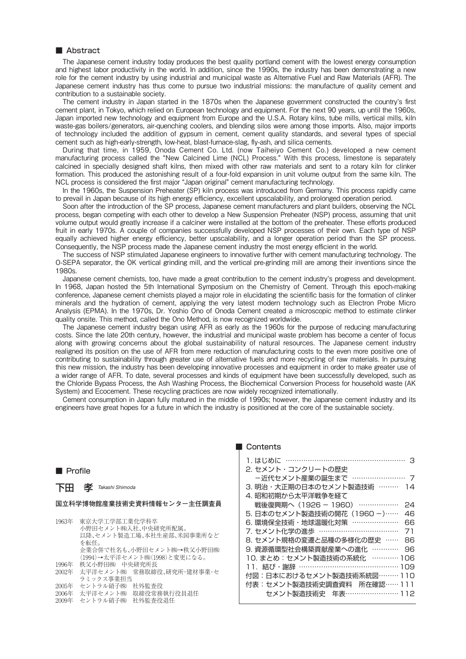The Japanese cement industry today produces the best quality portland cement with the lowest energy consumption and highest labor productivity in the world. In addition, since the 1990s, the industry has been demonstrating a new role for the cement industry by using industrial and municipal waste as Alternative Fuel and Raw Materials (AFR). The Japanese cement industry has thus come to pursue two industrial missions: the manufacture of quality cement and contribution to a sustainable society.

The cement industry in Japan started in the 1870s when the Japanese government constructed the country's first cement plant, in Tokyo, which relied on European technology and equipment. For the next 90 years, up until the 1960s, Japan imported new technology and equipment from Europe and the U.S.A. Rotary kilns, tube mills, vertical mills, kiln waste-gas boilers/generators, air-quenching coolers, and blending silos were among those imports. Also, major imports of technology included the addition of gypsum in cement, cement quality standards, and several types of special cement such as high-early-strength, low-heat, blast-furnace-slag, fly-ash, and silica cements.

During that time, in 1959, Onoda Cement Co. Ltd. (now Taiheiyo Cement Co.) developed a new cement manufacturing process called the "New Calcined Lime (NCL) Process." With this process, limestone is separately calcined in specially designed shaft kilns, then mixed with other raw materials and sent to a rotary kiln for clinker formation. This produced the astonishing result of a four-fold expansion in unit volume output from the same kiln. The NCL process is considered the first major "Japan original" cement manufacturing technology.

In the 1960s, the Suspension Preheater (SP) kiln process was introduced from Germany. This process rapidly came to prevail in Japan because of its high energy efficiency, excellent upscalability, and prolonged operation period.

Soon after the introduction of the SP process, Japanese cement manufacturers and plant builders, observing the NCL process, began competing with each other to develop a New Suspension Preheater (NSP) process, assuming that unit volume output would greatly increase if a calciner were installed at the bottom of the preheater. These efforts produced fruit in early 1970s. A couple of companies successfully developed NSP processes of their own. Each type of NSP equally achieved higher energy efficiency, better upscalability, and a longer operation period than the SP process. Consequently, the NSP process made the Japanese cement industry the most energy efficient in the world.

The success of NSP stimulated Japanese engineers to innovative further with cement manufacturing technology. The O-SEPA separator, the OK vertical grinding mill, and the vertical pre-grinding mill are among their inventions since the 1980s.

Japanese cement chemists, too, have made a great contribution to the cement industry's progress and development. In 1968, Japan hosted the 5th International Symposium on the Chemistry of Cement. Through this epoch-making conference, Japanese cement chemists played a major role in elucidating the scientific basis for the formation of clinker minerals and the hydration of cement, applying the very latest modern technology such as Electron Probe Micro Analysis (EPMA). In the 1970s, Dr. Yoshio Ono of Onoda Cement created a microscopic method to estimate clinker quality onsite. This method, called the Ono Method, is now recognized worldwide.

The Japanese cement industry began using AFR as early as the 1960s for the purpose of reducing manufacturing costs. Since the late 20th century, however, the industrial and municipal waste problem has become a center of focus along with growing concerns about the global sustainability of natural resources. The Japanese cement industry realigned its position on the use of AFR from mere reduction of manufacturing costs to the even more positive one of contributing to sustainability through greater use of alternative fuels and more recycling of raw materials. In pursuing this new mission, the industry has been developing innovative processes and equipment in order to make greater use of a wider range of AFR. To date, several processes and kinds of equipment have been successfully developed, such as the Chloride Bypass Process, the Ash Washing Process, the Biochemical Conversion Process for household waste (AK System) and Ecocement. These recycling practices are now widely recognized internationally.

Cement consumption in Japan fully matured in the middle of 1990s; however, the Japanese cement industry and its engineers have great hopes for a future in which the industry is positioned at the core of the sustainable society.

■ Profile

下田 孝 *Takashi Shimoda*

### **国立科学博物館産業技術史資料情報センター主任調査員**

| 1963年 | 東京大学工学部工業化学科卒                  |
|-------|--------------------------------|
|       | 小野田セメント㈱入社、中央研究所配属。            |
|       | 以降、セメント製造工場、本社生産部、米国事業所など      |
|       | を転任。                           |
|       | 企業合併で社名も、小野田セメント㈱→秩父小野田㈱       |
|       | (1994)→太平洋セメント(株)(1998)と変更になる。 |
| 1996年 | 秩父小野田㈱ 中央研究所長                  |
| 2002年 | 太平洋セメント(株) 常務取締役、研究所・建材事業・セ    |
|       | ラミックス事業相当                      |
| 2005年 | セントラル硝子(株)<br>社外監杳役            |
| 2006年 | 取締役常務執行役員退任<br>太平洋セメント㈱        |

2009年 セントラル硝子㈱ 社外監査役退任

### ■ Contents

| 1. はじめに                      |     |
|------------------------------|-----|
| 2. セメント・コンクリートの歴史            |     |
| -近代セメント産業の誕生まで …………………… 7    |     |
| 3. 明治・大正期の日本のセメント製造技術 ………    | 14  |
| 4. 昭和初期から太平洋戦争を経て            |     |
| 戦後復興期へ (1926 - 1960) ………………  | 24  |
| 5. 日本のセメント製造技術の開花 (1960 ー)…… | 46  |
| 6.環境保全技術・地球温暖化対策 …………………     | 66  |
| 7. セメント化学の進歩 ……………………………     | 71  |
| 8. セメント規格の変遷と品種の多様化の歴史 ……    | 86  |
| 9. 資源循環型社会構築貢献産業への進化 …………    | 96  |
| 10. まとめ: セメント製造技術の系統化 …………   | 106 |
| 11. 結び・謝辞 ……………………………………     | 109 |
| 付図:日本におけるセメント製造技術系統図………110   |     |
| 付表:セメント製造技術史調査資料 所在確認……111   |     |
| セメント製造技術史 年表…………………… 112     |     |
|                              |     |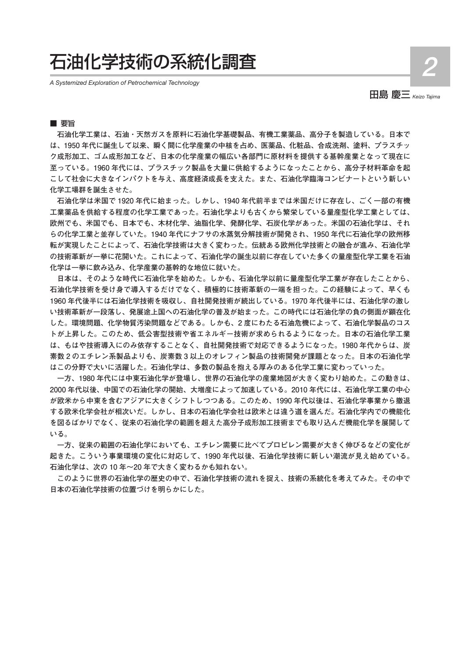# 石油化学技術の系統化調査

*A Systemized Exploration of Petrochemical Technology*

田島 慶三 *Keizo Tajima*

# ■ 要旨

**石油化学工業は、石油・天然ガスを原料に石油化学基礎製品、有機工業薬品、高分子を製造している。日本で は、1950 年代に誕生して以来、瞬く間に化学産業の中核を占め、医薬品、化粧品、合成洗剤、塗料、プラスチッ ク成形加工、ゴム成形加工など、日本の化学産業の幅広い各部門に原材料を提供する基幹産業となって現在に 至っている。1960 年代には、プラスチック製品を大量に供給するようになったことから、高分子材料革命を起 こして社会に大きなインパクトを与え、高度経済成長を支えた。また、石油化学臨海コンビナートという新しい 化学工場群を誕生させた。**

**石油化学は米国で 1920 年代に始まった。しかし、1940 年代前半までは米国だけに存在し、ごく一部の有機 工業薬品を供給する程度の化学工業であった。石油化学よりも古くから繁栄している量産型化学工業としては、 欧州でも、米国でも、日本でも、木材化学、油脂化学、発酵化学、石炭化学があった。米国の石油化学は、それ らの化学工業と並存していた。1940 年代にナフサの水蒸気分解技術が開発され、1950 年代に石油化学の欧州移 転が実現したことによって、石油化学技術は大きく変わった。伝統ある欧州化学技術との融合が進み、石油化学 の技術革新が一挙に花開いた。これによって、石油化学の誕生以前に存在していた多くの量産型化学工業を石油 化学は一挙に飲み込み、化学産業の基幹的な地位に就いた。**

**日本は、そのような時代に石油化学を始めた。しかも、石油化学以前に量産型化学工業が存在したことから、 石油化学技術を受け身で導入するだけでなく、積極的に技術革新の一端を担った。この経験によって、早くも 1960 年代後半には石油化学技術を吸収し、自社開発技術が続出している。1970 年代後半には、石油化学の激し い技術革新が一段落し、発展途上国への石油化学の普及が始まった。この時代には石油化学の負の側面が顕在化 した。環境問題、化学物質汚染問題などである。しかも、2 度にわたる石油危機によって、石油化学製品のコス トが上昇した。このため、低公害型技術や省エネルギー技術が求められるようになった。日本の石油化学工業 は、もはや技術導入にのみ依存することなく、自社開発技術で対応できるようになった。1980 年代からは、炭 素数 2 のエチレン系製品よりも、炭素数 3 以上のオレフィン製品の技術開発が課題となった。日本の石油化学 はこの分野で大いに活躍した。石油化学は、多数の製品を抱える厚みのある化学工業に変わっていった。**

**一方、1980 年代には中東石油化学が登場し、世界の石油化学の産業地図が大きく変わり始めた。この動きは、 2000 年代以後、中国での石油化学の開始、大増産によって加速している。2010 年代には、石油化学工業の中心 が欧米から中東を含むアジアに大きくシフトしつつある。このため、1990 年代以後は、石油化学事業から撤退 する欧米化学会社が相次いだ。しかし、日本の石油化学会社は欧米とは違う道を選んだ。石油化学内での機能化 を図るばかりでなく、従来の石油化学の範囲を超えた高分子成形加工技術までも取り込んだ機能化学を展開して いる。**

**一方、従来の範囲の石油化学においても、エチレン需要に比べてプロピレン需要が大きく伸びるなどの変化が 起きた。こういう事業環境の変化に対応して、1990 年代以後、石油化学技術に新しい潮流が見え始めている。 石油化学は、次の 10 年~20 年で大きく変わるかも知れない。**

**このように世界の石油化学の歴史の中で、石油化学技術の流れを捉え、技術の系統化を考えてみた。その中で 日本の石油化学技術の位置づけを明らかにした。**

2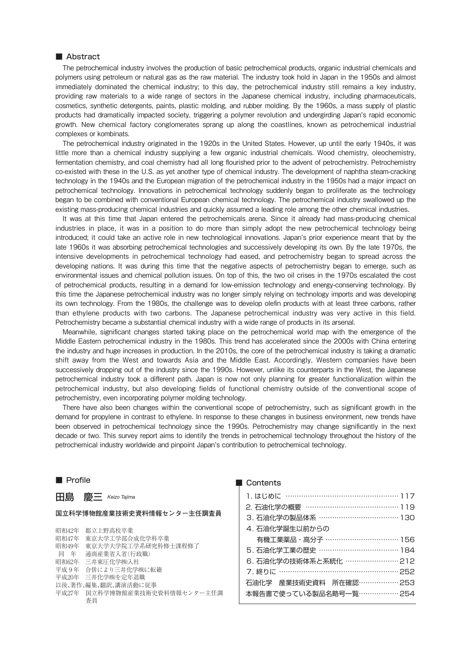The petrochemical industry involves the production of basic petrochemical products, organic industrial chemicals and polymers using petroleum or natural gas as the raw material. The industry took hold in Japan in the 1950s and almost immediately dominated the chemical industry; to this day, the petrochemical industry still remains a key industry, providing raw materials to a wide range of sectors in the Japanese chemical industry, including pharmaceuticals, cosmetics, synthetic detergents, paints, plastic molding, and rubber molding. By the 1960s, a mass supply of plastic products had dramatically impacted society, triggering a polymer revolution and undergirding Japan's rapid economic growth. New chemical factory conglomerates sprang up along the coastlines, known as petrochemical industrial complexes or kombinats.

The petrochemical industry originated in the 1920s in the United States. However, up until the early 1940s, it was little more than a chemical industry supplying a few organic industrial chemicals. Wood chemistry, oleochemistry, fermentation chemistry, and coal chemistry had all long flourished prior to the advent of petrochemistry. Petrochemistry co-existed with these in the U.S. as yet another type of chemical industry. The development of naphtha steam-cracking technology in the 1940s and the European migration of the petrochemical industry in the 1950s had a major impact on petrochemical technology. Innovations in petrochemical technology suddenly began to proliferate as the technology began to be combined with conventional European chemical technology. The petrochemical industry swallowed up the existing mass-producing chemical industries and quickly assumed a leading role among the other chemical industries.

It was at this time that Japan entered the petrochemicals arena. Since it already had mass-producing chemical industries in place, it was in a position to do more than simply adopt the new petrochemical technology being introduced; it could take an active role in new technological innovations. Japan's prior experience meant that by the late 1960s it was absorbing petrochemical technologies and successively developing its own. By the late 1970s, the intensive developments in petrochemical technology had eased, and petrochemistry began to spread across the developing nations. It was during this time that the negative aspects of petrochemistry began to emerge, such as environmental issues and chemical pollution issues. On top of this, the two oil crises in the 1970s escalated the cost of petrochemical products, resulting in a demand for low-emission technology and energy-conserving technology. By this time the Japanese petrochemical industry was no longer simply relying on technology imports and was developing its own technology. From the 1980s, the challenge was to develop olefin products with at least three carbons, rather than ethylene products with two carbons. The Japanese petrochemical industry was very active in this field. Petrochemistry became a substantial chemical industry with a wide range of products in its arsenal.

Meanwhile, significant changes started taking place on the petrochemical world map with the emergence of the Middle Eastern petrochemical industry in the 1980s. This trend has accelerated since the 2000s with China entering the industry and huge increases in production. In the 2010s, the core of the petrochemical industry is taking a dramatic shift away from the West and towards Asia and the Middle East. Accordingly, Western companies have been successively dropping out of the industry since the 1990s. However, unlike its counterparts in the West, the Japanese petrochemical industry took a different path. Japan is now not only planning for greater functionalization within the petrochemical industry, but also developing fields of functional chemistry outside of the conventional scope of petrochemistry, even incorporating polymer molding technology.

There have also been changes within the conventional scope of petrochemistry, such as significant growth in the demand for propylene in contrast to ethylene. In response to these changes in business environment, new trends have been observed in petrochemical technology since the 1990s. Petrochemistry may change significantly in the next decade or two. This survey report aims to identify the trends in petrochemical technology throughout the history of the petrochemical industry worldwide and pinpoint Japan's contribution to petrochemical technology.

# ■ Profile ■ Contents

田島 慶三 *Keizo Tajima*

。<br>대한국급 40 <del>/</del> 20 <del>-</del> 40 - 40 - 40 - 80 <del>- 40</del> - 40 - 40 - 40

### **国立科学博物館産業技術史資料情報センター主任調査員**

| 111不114乙平 | 郁 V. L.野高校 半業                 |
|-----------|-------------------------------|
| 昭和47年     | 東京大学工学部合成化学科卒業                |
| 昭和49年     | 東京大学大学院工学系研究科修十課程修了           |
| 同 年       | 诵商産業省入省(行政職)                  |
| 昭和62年     | 三井東圧化学㈱入社                     |
| 平成 9年     | 合併により三井化学㈱に転籍                 |
|           | 平成20年 三井化学㈱を定年退職              |
|           | 以後、著作、編集、翻訳、講演活動に従事           |
|           | 平成27年 国立科学博物館産業技術史資料情報センター主任調 |
|           | 杳目                            |
|           |                               |

| 1. はじめに …………………………………………… 117 |  |
|-------------------------------|--|
| 2. 石油化学の概要 …………………………………… 119 |  |
| 3. 石油化学の製品体系 ……………………………… 130 |  |
| 4. 石油化学誕生以前からの                |  |
| 有機工業薬品・高分子 …………………………… 156    |  |
| 5. 石油化学工業の歴史 ……………………………… 184 |  |
| 6. 石油化学の技術体系と系統化 …………………… 212 |  |
| 7. 終りに …………………………………………… 252  |  |
| 石油化学 産業技術史資料 所在確認……………… 253   |  |
| 本報告書で使っている製品名略号一覧……………… 254   |  |
|                               |  |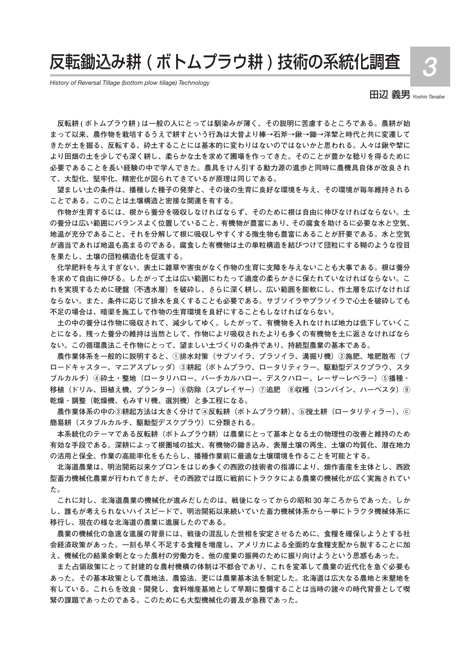# 反転鋤込み耕 ( ボトムプラウ耕 ) 技術の系統化調査

*History of Reversal Tillage (bottom plow tillage) Technology*

田辺 義男 *Yoshio Tanabe*

3

**反転耕 ( ボトムプラウ耕 ) は一般の人にとっては馴染みが薄く、その説明に苦慮するところである。農耕が始 まって以来、農作物を栽培するうえで耕すという行為は大昔より棒→石斧→鍬→鋤→洋犂と時代と共に変遷して きたが土を掘る、反転する、砕土することには基本的に変わりはないのではないかと思われる。人々は鍬や犂に より田畑の土を少しでも深く耕し、柔らかな土を求めて圃場を作ってきた。そのことが豊かな稔りを得るために 必要であることを長い経験の中で学んできた。農具をけん引する動力源の進歩と同時に農機具自体が改良され て、大型化、堅牢化、精密化が図られてきているが原理は同じである。**

**望ましい土の条件は、播種した種子の発芽と、その後の生育に良好な環境を与え、その環境が毎年維持される ことである。このことは土壌構造と密接な関連を有する。**

**作物が生育するには、根から養分を吸収しなければならず、そのために根は自由に伸びなければならない。土 の養分は広い範囲にバランスよく位置していること、有機物が豊富にあり、その腐食を助けるに必要な水と空気、 地温が充分であること、それを分解して根に吸収しやすくする微生物も豊富にあることが肝要である。水と空気 が適当であれば地温も高まるのである。腐食した有機物は土の単粒構造を結びつけて団粒にする糊のような役目 を果たし、土壌の団粒構造化を促進する。** 

**化学肥料を与えすぎない、表土に雑草や害虫がなく作物の生育に支障を与えないことも大事である。根は養分 を求めて自由に伸びる。したがって土は広い範囲にわたって適度の柔らかさに保たれていなければならない。こ れを実現するために硬盤(不透水層)を破砕し、さらに深く耕し、広い範囲を膨軟にし、作土層を広げなければ ならない。また、条件に応じて排水を良くすることも必要である。サブソイラやプラソイラで心土を破砕しても 不足の場合は、暗渠を施工して作物の生育環境を良好にすることもしなければならない。**

**土の中の養分は作物に吸収されて、減少してゆく。したがって、有機物を入れなければ地力は低下していくこ とになる。残った養分の維持は当然として、作物により吸収されたよりも多くの有機物を土に返さなければなら ない。この循環農法こそ作物にとって、望ましい土づくりの条件であり、持続型農業の基本である。**

**農作業体系を一般的に説明すると、①排水対策(サブソイラ、プラソイラ、溝掘り機)②施肥、堆肥散布(ブ ロードキャスター、マニアスプレッダ)③耕起(ボトムプラウ、ロータリティラー、駆動型デスクプラウ、スタ ブルカルチ)④砕土・整地(ロータリハロー、バーチカルハロー、デスクハロー、レーザーレベラー)⑤播種・** 移植(ドリル、田植え機、プランター)⑥防除(スプレイヤー)⑦追肥 ⑧収穫(コンバイン、ハーベスタ)⑨ **乾燥・調整(乾燥機、もみすり機、選別機)と多工程になる。**

**農作業体系の中の③耕起方法は大きく分けてⓐ反転耕(ボトムプラウ耕)、ⓑ撹土耕(ロータリティラー)、ⓒ 簡易耕(スタブルカルチ、駆動型デスクプラウ)に分類される。**

**本系統化のテーマである反転耕(ボトムプラウ耕)は農業にとって基本となる土の物理性の改善と維持のため 有効な手段である。深耕によって根圏域の拡大、有機物の鋤き込み、表層土壌の再生、土壌の均質化、潜在地力 の活用と保全、作業の高能率化をもたらし、播種作業前に最適な土壌環境を作ることを可能とする。**

**北海道農業は、明治開拓以来ケプロンをはじめ多くの西欧の技術者の指導により、畑作畜産を主体とし、西欧 型畜力機械化農業が行われてきたが、その西欧では既に戦前にトラクタによる農業の機械化が広く実施されてい た。**

**これに対し、北海道農業の機械化が進みだしたのは、戦後になってからの昭和 30 年ころからであった。しか し、誰もが考えられないハイスピードで、明治開拓以来続いていた畜力機械体系から一挙にトラクタ機械体系に 移行し、現在の様な北海道の農業に進展したのである。**

**農業の機械化の急速な進展の背景には、戦後の混乱した世相を安定させるために、食糧を確保しようとする社 会経済政策があった。一刻も早く不足する食糧を増産し、アメリカによる全面的な食糧支配から脱することに加 え、機械化の結果余剰となった農村の労働力を、他の産業の振興のために振り向けようという思惑もあった。**

**また占領政策にとって封建的な農村機構の体制は不都合であり、これを変革して農業の近代化を急ぐ必要も あった。その基本政策として農地法、農協法、更には農業基本法を制定した。北海道は広大なる農地と未墾地を 有している。これらを改良・開発し、食料増産基地として早期に整備することは当時の諸々の時代背景として喫 緊の課題であったのである。このためにも大型機械化の普及が急務であった。**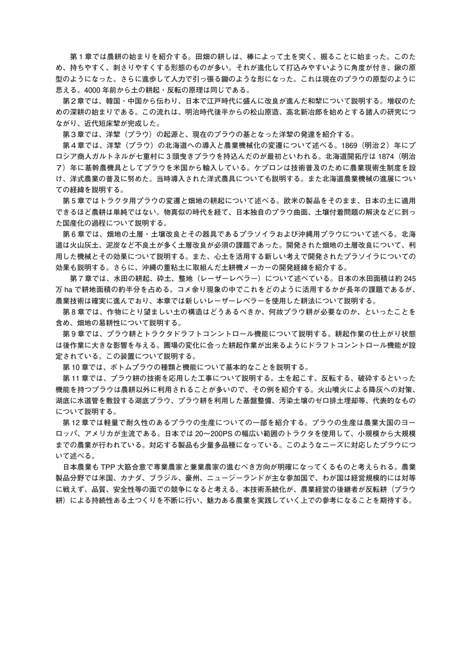**第 1 章では農耕の始まりを紹介する。田畑の耕しは、棒によって土を突く、掘ることに始まった。このた め、持ちやすく、刺さりやすくする形態のものが多い。それが進化して打込みやすいように角度が付き、鍬の原 型のようになった。さらに進歩して人力で引っ張る鋤のような形になった。これは現在のプラウの原型のように 思える。4000 年前から土の耕起・反転の原理は同じである。** 

**第2章では、韓国・中国から伝わり、日本で江戸時代に盛んに改良が進んだ和犂について説明する。増収のた めの深耕の始まりである。この流れは、明治時代後半からの松山原造、高北新冶郎を始めとする諸人の研究につ ながり、近代短床犂が完成した。**

**第3章では、洋犂(プラウ)の起源と、現在のプラウの基となった洋犂の発達を紹介する。**

第4章では、洋犂(プラウ)の北海道への導入と農業機械化の変遷について述べる。1869 (明治2) 年にプ **ロシア商人ガルトネルが七重村に 3 頭曳きプラウを持込んだのが最初といわれる。北海道開拓庁は 1874(明治 7)年に基幹農機具としてプラウを米国から輸入している。ケプロンは技術普及のために農業現術生制度を設 け、洋式農業の普及に努めた。当時導入された洋式農具についても説明する。また北海道農業機械の進展につい ての経緯を説明する。**

**第 5 章ではトラクタ用プラウの変遷と畑地の耕起について述べる。欧米の製品をそのまま、日本の土に適用 できるほど農耕は単純ではない。物真似の時代を経て、日本独自のプラウ曲面、土壌付着問題の解決などに到っ た国産化の過程について説明する。**

**第 6 章では、畑地の土層・土壌改良とその器具であるプラソイラおよび沖縄用プラウについて述べる。北海 道は火山灰土、泥炭など不良土が多く土層改良が必須の課題であった。開発された畑地の土層改良について、利 用した機械とその効果について説明する。また、心土を活用する新しい考えで開発されたプラソイラについての 効果も説明する。さらに、沖縄の重粘土に取組んだ土耕機メーカーの開発経緯を紹介する。**

 **第 7 章では、水田の耕起、砕土、整地(レーザーレベラー)について述べている。日本の水田面積は約 245 万 ha で耕地面積の約半分を占める。コメ余り現象の中でこれをどのように活用するかが長年の課題であるが、 農業技術は確実に進んでおり、本章では新しいレーザーレベラーを使用した耕法について説明する。**

**第 8 章では、作物にとり望ましい土の構造はどうあるべきか、何故プラウ耕が必要なのか、といったことを 含め、畑地の易耕性について説明する。**

**第 9 章では、プラウ耕とトラクタドラフトコンントロール機能について説明する。耕起作業の仕上がり状態 は後作業に大きな影響を与える。圃場の変化に合った耕起作業が出来るようにドラフトコンントロール機能が設 定されている。この装置について説明する。**

**第 10 章では、ボトムプラウの種類と機能について基本的なことを説明する。**

**第 11 章では、プラウ耕の技術を応用した工事について説明する。土を起こす、反転する、破砕するといった 機能を持つプラウは農耕以外に利用されることが多いので、その例を紹介する。火山噴火による降灰への対策、 湖底に水道管を敷設する湖底プラウ、プラウ耕を利用した基盤整備、汚染土壌のゼロ排土埋却等、代表的なもの について説明する。**

**第 12 章では軽量で耐久性のあるプラウの生産についての一部を紹介する。プラウの生産は農業大国のヨー ロッパ、アメリカが主流である。日本では 20~200PS の幅広い範囲のトラクタを使用して、小規模から大規模 までの農業が行われている。対応する製品も少量多品種になっている。このようなニーズに対応したプラウにつ いて述べる。**

**日本農業も TPP 大筋合意で専業農家と兼業農家の進むべき方向が明確になってくるものと考えられる。農業 製品分野では米国、カナダ、ブラジル、豪州、ニュージーランドが主な参加国で、わが国は経営規模的には対等 に戦えず、品質、安全性等の面での競争になると考える。本技術系統化が、農業経営の後継者が反転耕(プラウ 耕)による持続性ある土つくりを不断に行い、魅力ある農業を実践していく上での参考になることを期待する。**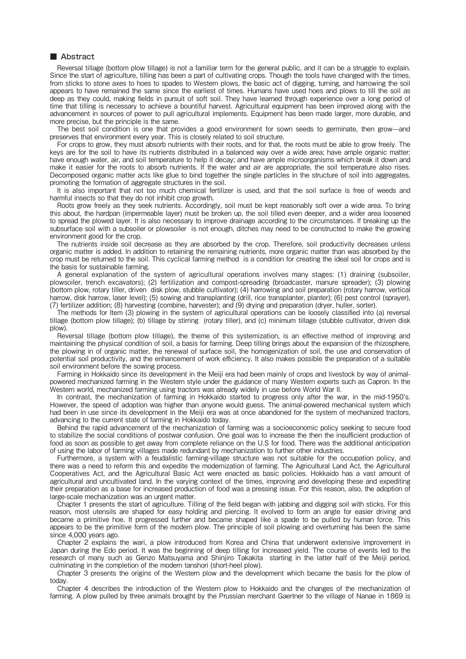Reversal tillage (bottom plow tillage) is not a familiar term for the general public, and it can be a struggle to explain. Since the start of agriculture, tilling has been a part of cultivating crops. Though the tools have changed with the times, from sticks to stone axes to hoes to spades to Western plows, the basic act of digging, turning, and harrowing the soil appears to have remained the same since the earliest of times. Humans have used hoes and plows to till the soil as deep as they could, making fields in pursuit of soft soil. They have learned through experience over a long period of time that tilling is necessary to achieve a bountiful harvest. Agricultural equipment has been improved along with the advancement in sources of power to pull agricultural implements. Equipment has been made larger, more durable, and more precise, but the principle is the same.

The best soil condition is one that provides a good environment for sown seeds to germinate, then grow—and preserves that environment every year. This is closely related to soil structure.

For crops to grow, they must absorb nutrients with their roots, and for that, the roots must be able to grow freely. The keys are for the soil to have its nutrients distributed in a balanced way over a wide area; have ample organic matter; have enough water, air, and soil temperature to help it decay; and have ample microorganisms which break it down and make it easier for the roots to absorb nutrients. If the water and air are appropriate, the soil temperature also rises. Decomposed organic matter acts like glue to bind together the single particles in the structure of soil into aggregates, promoting the formation of aggregate structures in the soil.

It is also important that not too much chemical fertilizer is used, and that the soil surface is free of weeds and harmful insects so that they do not inhibit crop growth.

Roots grow freely as they seek nutrients. Accordingly, soil must be kept reasonably soft over a wide area. To bring this about, the hardpan (impermeable layer) must be broken up, the soil tilled even deeper, and a wider area loosened to spread the plowed layer. It is also necessary to improve drainage according to the circumstances. If breaking up the subsurface soil with a subsoiler or plowsoiler is not enough, ditches may need to be constructed to make the growing environment good for the crop.

The nutrients inside soil decrease as they are absorbed by the crop. Therefore, soil productivity decreases unless organic matter is added. In addition to retaining the remaining nutrients, more organic matter than was absorbed by the crop must be returned to the soil. This cyclical farming method is a condition for creating the ideal soil for crops and is the basis for sustainable farming.

A general explanation of the system of agricultural operations involves many stages: (1) draining (subsoiler, plowsoiler, trench excavators); (2) fertilization and compost-spreading (broadcaster, manure spreader); (3) plowing (bottom plow, rotary tiller, driven disk plow, stubble cultivator); (4) harrowing and soil preparation (rotary harrow, vertical harrow, disk harrow, laser level); (5) sowing and transplanting (drill, rice transplanter, planter); (6) pest control (sprayer), (7) fertilizer addition; (8) harvesting (combine, harvester); and (9) drying and preparation (dryer, huller, sorter).

The methods for Item (3) plowing in the system of agricultural operations can be loosely classified into (a) reversal tillage (bottom plow tillage); (b) tillage by stirring (rotary tiller), and (c) minimum tillage (stubble cultivator, driven disk plow).

Reversal tillage (bottom plow tillage), the theme of this systemization, is an effective method of improving and maintaining the physical condition of soil, a basis for farming. Deep tilling brings about the expansion of the rhizosphere, the plowing in of organic matter, the renewal of surface soil, the homogenization of soil, the use and conservation of potential soil productivity, and the enhancement of work efficiency. It also makes possible the preparation of a suitable soil environment before the sowing process.

Farming in Hokkaido since its development in the Meiji era had been mainly of crops and livestock by way of animalpowered mechanized farming in the Western style under the guidance of many Western experts such as Capron. In the Western world, mechanized farming using tractors was already widely in use before World War II.

In contrast, the mechanization of farming in Hokkaido started to progress only after the war, in the mid-1950's. However, the speed of adoption was higher than anyone would guess. The animal-powered mechanical system which had been in use since its development in the Meiji era was at once abandoned for the system of mechanized tractors, advancing to the current state of farming in Hokkaido today.

Behind the rapid advancement of the mechanization of farming was a socioeconomic policy seeking to secure food to stabilize the social conditions of postwar confusion. One goal was to increase the then the insufficient production of food as soon as possible to get away from complete reliance on the U.S for food. There was the additional anticipation of using the labor of farming villages made redundant by mechanization to further other industries.

Furthermore, a system with a feudalistic farming-village structure was not suitable for the occupation policy, and there was a need to reform this and expedite the modernization of farming. The Agricultural Land Act, the Agricultural Cooperatives Act, and the Agricultural Basic Act were enacted as basic policies. Hokkaido has a vast amount of agricultural and uncultivated land. In the varying context of the times, improving and developing these and expediting their preparation as a base for increased production of food was a pressing issue. For this reason, also, the adoption of large-scale mechanization was an urgent matter.

Chapter 1 presents the start of agriculture. Tilling of the field began with jabbing and digging soil with sticks. For this reason, most utensils are shaped for easy holding and piercing. It evolved to form an angle for easier driving and became a primitive hoe. It progressed further and became shaped like a spade to be pulled by human force. This appears to be the primitive form of the modern plow. The principle of soil plowing and overturning has been the same since 4,000 years ago.

Chapter 2 explains the wari, a plow introduced from Korea and China that underwent extensive improvement in Japan during the Edo period. It was the beginning of deep tilling for increased yield. The course of events led to the research of many such as Genzo Matsuyama and Shinjiro Takakita starting in the latter half of the Meiji period, culminating in the completion of the modern tanshori (short-heel plow).

Chapter 3 presents the origins of the Western plow and the development which became the basis for the plow of today.

Chapter 4 describes the introduction of the Western plow to Hokkaido and the changes of the mechanization of farming. A plow pulled by three animals brought by the Prussian merchant Gaertner to the village of Nanae in 1869 is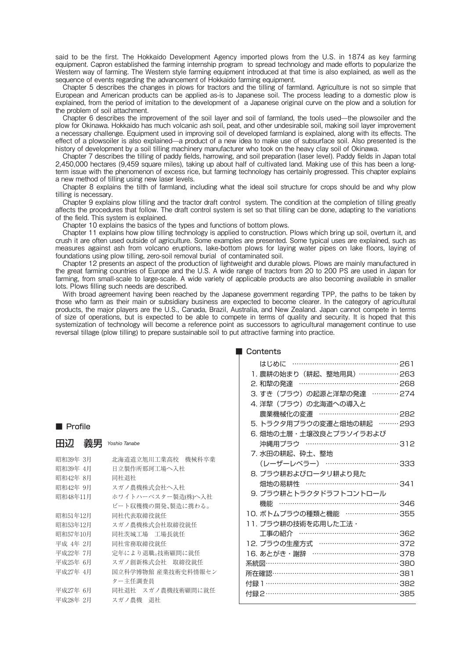said to be the first. The Hokkaido Development Agency imported plows from the U.S. in 1874 as key farming equipment. Capron established the farming internship program to spread technology and made efforts to popularize the Western way of farming. The Western style farming equipment introduced at that time is also explained, as well as the sequence of events regarding the advancement of Hokkaido farming equipment.

Chapter 5 describes the changes in plows for tractors and the tilling of farmland. Agriculture is not so simple that European and American products can be applied as-is to Japanese soil. The process leading to a domestic plow is explained, from the period of imitation to the development of a Japanese original curve on the plow and a solution for the problem of soil attachment.

Chapter 6 describes the improvement of the soil layer and soil of farmland, the tools used—the plowsoiler and the plow for Okinawa. Hokkaido has much volcanic ash soil, peat, and other undesirable soil, making soil layer improvement a necessary challenge. Equipment used in improving soil of developed farmland is explained, along with its effects. The effect of a plowsoiler is also explained—a product of a new idea to make use of subsurface soil. Also presented is the history of development by a soil tilling machinery manufacturer who took on the heavy clay soil of Okinawa.

Chapter 7 describes the tilling of paddy fields, harrowing, and soil preparation (laser level). Paddy fields in Japan total 2,450,000 hectares (9,459 square miles), taking up about half of cultivated land. Making use of this has been a longterm issue with the phenomenon of excess rice, but farming technology has certainly progressed. This chapter explains a new method of tilling using new laser levels.

Chapter 8 explains the tilth of farmland, including what the ideal soil structure for crops should be and why plow tilling is necessary.

Chapter 9 explains plow tilling and the tractor draft control system. The condition at the completion of tilling greatly affects the procedures that follow. The draft control system is set so that tilling can be done, adapting to the variations of the field. This system is explained.

Chapter 10 explains the basics of the types and functions of bottom plows.

Chapter 11 explains how plow tilling technology is applied to construction. Plows which bring up soil, overturn it, and crush it are often used outside of agriculture. Some examples are presented. Some typical uses are explained, such as measures against ash from volcano eruptions, lake-bottom plows for laying water pipes on lake floors, laying of foundations using plow tilling, zero-soil removal burial of contaminated soil.

Chapter 12 presents an aspect of the production of lightweight and durable plows. Plows are mainly manufactured in the great farming countries of Europe and the U.S. A wide range of tractors from 20 to 200 PS are used in Japan for farming, from small-scale to large-scale. A wide variety of applicable products are also becoming available in smaller lots. Plows filling such needs are described.

With broad agreement having been reached by the Japanese government regarding TPP, the paths to be taken by those who farm as their main or subsidiary business are expected to become clearer. In the category of agricultural products, the major players are the U.S., Canada, Brazil, Australia, and New Zealand. Japan cannot compete in terms of size of operations, but is expected to be able to compete in terms of quality and security. It is hoped that this systemization of technology will become a reference point as successors to agricultural management continue to use reversal tillage (plow tilling) to prepare sustainable soil to put attractive farming into practice.

| Contents |
|----------|
|          |

|                      |                      | はじめに …………………………………………… 261     |  |
|----------------------|----------------------|--------------------------------|--|
|                      |                      | 1. 農耕の始まり (耕起、整地用具) ……………… 263 |  |
|                      |                      | 2. 和犂の発達 …………………………………… 268    |  |
|                      |                      | 3. すき (プラウ) の起源と洋犂の発達 ………… 274 |  |
|                      |                      | 4. 洋犂 (プラウ) の北海道への導入と          |  |
|                      |                      | 農業機械化の変遷 ……………………………… 282      |  |
| <b>Profile</b>       |                      | 5. トラクタ用プラウの変遷と畑地の耕起 ……… 293   |  |
|                      |                      | 6. 畑地の土層・土壌改良とプラソイラおよび         |  |
| 田辺 義男                | Yoshio Tanabe        | 沖縄用プラウ …………………………………312        |  |
|                      |                      | 7. 水田の耕起、砕土、整地                 |  |
| 昭和39年 3月             | 北海道道立旭川工業高校 機械科卒業    | (レーザーレベラー) …………………………… 333     |  |
| 昭和39年 4月<br>昭和42年 8月 | 日立製作所那珂工場へ入社         | 8. プラウ耕およびロータリ耕より見た            |  |
| 昭和42年 9月             | 同社退社<br>スガノ農機株式会社へ入社 | 畑地の易耕性 ……………………………………341       |  |
| 昭和48年11月             | ホワイトハーベスター製造(株)へ入社   | 9. プラウ耕とトラクタドラフトコントロール         |  |
|                      | ビート収穫機の開発、製造に携わる。    | 機能 …………………………………………………346      |  |
| 昭和51年12月             | 同社代表取締役就任            | 10. ボトムプラウの種類と機能 …………………… 355  |  |
| 昭和53年12月             | スガノ農機株式会社取締役就任       | 11. プラウ耕の技術を応用した工法・            |  |
| 昭和57年10月             | 同社茨城工場 工場長就任         | 工事の紹介 …………………………………… 362       |  |
| 平成 4年 2月             | 同社常務取締役就任            | 12. プラウの生産方式 ……………………………… 372  |  |
| 平成22年 7月             | 定年により退職。技術顧問に就任      | 16. あとがき・謝辞 ………………………………… 378  |  |
| 平成25年 6月             | スガノ創新株式会社 取締役就任      | 系統図………………………………………………… 380     |  |
| 平成27年 4月             | 国立科学博物館 産業技術史料情報セン   | 所在確認………………………………………………… 381    |  |
|                      | ター主任調査員              | 付録 1…………………………………………………… 382   |  |
| 平成27年 6月             | 同社退社 スガノ農機技術顧問に就任    | 付録2…………………………………………………… 385    |  |
| 平成28年 2月             | スガノ農機 退社             |                                |  |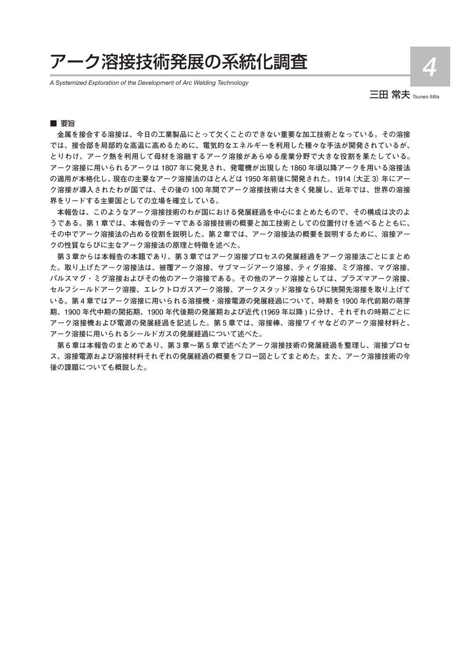# アーク溶接技術発展の系統化調査

*A Systemized Exploration of the Development of Arc Welding Technology*

三田 常夫 *Tsuneo Mita*

4

## ■ 要旨

**金属を接合する溶接は、今日の工業製品にとって欠くことのできない重要な加工技術となっている。その溶接 では、接合部を局部的な高温に高めるために、電気的なエネルギーを利用した種々な手法が開発されているが、 とりわけ、アーク熱を利用して母材を溶融するアーク溶接があらゆる産業分野で大きな役割を果たしている。 アーク溶接に用いられるアークは 1807 年に発見され、発電機が出現した 1860 年頃以降アークを用いる溶接法 の適用が本格化し、現在の主要なアーク溶接法のほとんどは 1950 年前後に開発された。1914(大正 3)年にアー ク溶接が導入されたわが国では、その後の 100 年間でアーク溶接技術は大きく発展し、近年では、世界の溶接 界をリードする主要国としての立場を確立している。**

**本報告は、このようなアーク溶接技術のわが国における発展経過を中心にまとめたもので、その構成は次のよ うである。第 1 章では、本報告のテーマである溶接技術の概要と加工技術としての位置付けを述べるとともに、 その中でアーク溶接法の占める役割を説明した。第 2 章では、アーク溶接法の概要を説明するために、溶接アー クの性質ならびに主なアーク溶接法の原理と特徴を述べた。**

**第 3 章からは本報告の本題であり、第 3 章ではアーク溶接プロセスの発展経過をアーク溶接法ごとにまとめ た。取り上げたアーク溶接法は、被覆アーク溶接、サブマージアーク溶接、ティグ溶接、ミグ溶接、マグ溶接、 パルスマグ・ミグ溶接およびその他のアーク溶接である。その他のアーク溶接としては、プラズマアーク溶接、 セルフシールドアーク溶接、エレクトロガスアーク溶接、アークスタッド溶接ならびに狭開先溶接を取り上げて いる。第 4 章ではアーク溶接に用いられる溶接機・溶接電源の発展経過について、時期を 1900 年代前期の萌芽 期、1900 年代中期の開拓期、1900 年代後期の発展期および近代 (1969 年以降 ) に分け、それぞれの時期ごとに アーク溶接機および電源の発展経過を記述した。第 5 章では、溶接棒、溶接ワイヤなどのアーク溶接材料と、 アーク溶接に用いられるシールドガスの発展経過について述べた。**

**第 6 章は本報告のまとめであり、第 3 章~第 5 章で述べたアーク溶接技術の発展経過を整理し、溶接プロセ ス、溶接電源および溶接材料それぞれの発展経過の概要をフロー図としてまとめた。また、アーク溶接技術の今 後の課題についても概説した。**